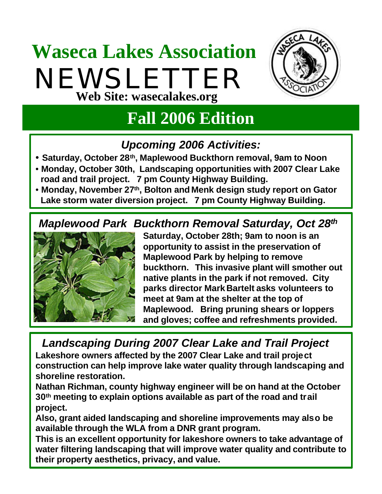## **Waseca Lakes Association** NEWSLETTER **Web Site: wasecalakes.org**



### **Fall 2006 Edition**

#### *Upcoming 2006 Activities:*

- **Saturday, October 28th, Maplewood Buckthorn removal, 9am to Noon**
- **Monday, October 30th, Landscaping opportunities with 2007 Clear Lake 5road and trail project. 7 pm County Highway Building.**
- **Monday, November 27th, Bolton and Menk design study report on Gator 5Lake storm water diversion project. 7 pm County Highway Building.**

#### *Maplewood Park Buckthorn Removal Saturday, Oct 28th*



**Saturday, October 28th; 9am to noon is an opportunity to assist in the preservation of Maplewood Park by helping to remove buckthorn. This invasive plant will smother out native plants in the park if not removed. City parks director Mark Bartelt asks volunteers to meet at 9am at the shelter at the top of Maplewood. Bring pruning shears or loppers and gloves; coffee and refreshments provided.**

*Landscaping During 2007 Clear Lake and Trail Project*  **Lakeshore owners affected by the 2007 Clear Lake and trail project construction can help improve lake water quality through landscaping and shoreline restoration.** 

**Nathan Richman, county highway engineer will be on hand at the October 30th meeting to explain options available as part of the road and trail project.** 

**Also, grant aided landscaping and shoreline improvements may also be available through the WLA from a DNR grant program.**

**This is an excellent opportunity for lakeshore owners to take advantage of water filtering landscaping that will improve water quality and contribute to their property aesthetics, privacy, and value.**